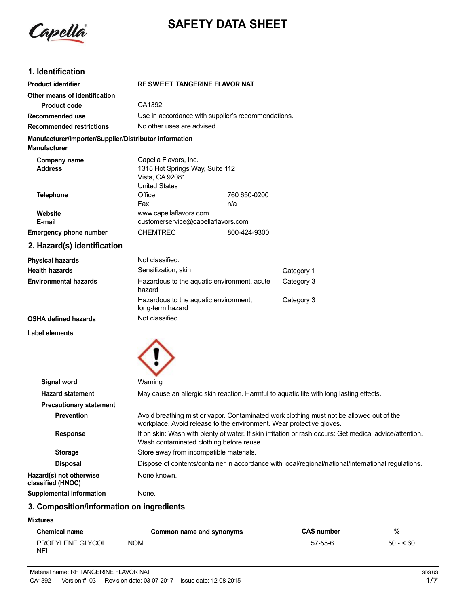

# **SAFETY DATA SHEET**

### **1. Identification**

| <b>Product identifier</b>                                                     | <b>RF SWEET TANGERINE FLAVOR NAT</b>                                                                                                                      |              |                                                                                          |
|-------------------------------------------------------------------------------|-----------------------------------------------------------------------------------------------------------------------------------------------------------|--------------|------------------------------------------------------------------------------------------|
| Other means of identification                                                 |                                                                                                                                                           |              |                                                                                          |
| <b>Product code</b>                                                           | CA1392                                                                                                                                                    |              |                                                                                          |
| Recommended use                                                               | Use in accordance with supplier's recommendations.                                                                                                        |              |                                                                                          |
| <b>Recommended restrictions</b>                                               | No other uses are advised.                                                                                                                                |              |                                                                                          |
| Manufacturer/Importer/Supplier/Distributor information<br><b>Manufacturer</b> |                                                                                                                                                           |              |                                                                                          |
| Company name<br><b>Address</b>                                                | Capella Flavors, Inc.<br>1315 Hot Springs Way, Suite 112<br>Vista, CA 92081<br><b>United States</b>                                                       |              |                                                                                          |
| <b>Telephone</b>                                                              | Office:                                                                                                                                                   | 760 650-0200 |                                                                                          |
|                                                                               | Fax:                                                                                                                                                      | n/a          |                                                                                          |
| Website<br>E-mail                                                             | www.capellaflavors.com<br>customerservice@capellaflavors.com                                                                                              |              |                                                                                          |
| <b>Emergency phone number</b>                                                 | <b>CHEMTREC</b>                                                                                                                                           | 800-424-9300 |                                                                                          |
| 2. Hazard(s) identification                                                   |                                                                                                                                                           |              |                                                                                          |
| <b>Physical hazards</b>                                                       | Not classified.                                                                                                                                           |              |                                                                                          |
| <b>Health hazards</b>                                                         | Sensitization, skin                                                                                                                                       |              | Category 1                                                                               |
| <b>Environmental hazards</b>                                                  | Hazardous to the aquatic environment, acute<br>hazard                                                                                                     |              | Category 3                                                                               |
|                                                                               | Hazardous to the aquatic environment,<br>long-term hazard                                                                                                 |              | Category 3                                                                               |
| <b>OSHA defined hazards</b>                                                   | Not classified.                                                                                                                                           |              |                                                                                          |
| <b>Label elements</b>                                                         |                                                                                                                                                           |              |                                                                                          |
|                                                                               |                                                                                                                                                           |              |                                                                                          |
| <b>Signal word</b>                                                            | Warning                                                                                                                                                   |              |                                                                                          |
| <b>Hazard statement</b>                                                       |                                                                                                                                                           |              | May cause an allergic skin reaction. Harmful to aquatic life with long lasting effects.  |
| <b>Precautionary statement</b>                                                |                                                                                                                                                           |              |                                                                                          |
| <b>Prevention</b>                                                             | Avoid breathing mist or vapor. Contaminated work clothing must not be allowed out<br>workplace. Avoid release to the environment. Wear protective gloves. |              |                                                                                          |
| Resnonse                                                                      |                                                                                                                                                           |              | If on skin: Wash with plenty of water. If skin irritation or rash occurs: Get medical ad |

**e** allowed out of the **Response** If on skin: Wash with plenty of water. If skin irritation or rash occurs: Get medical advice/attention. Wash contaminated clothing before reuse. **Storage** Store away from incompatible materials. **Disposal** Dispose of contents/container in accordance with local/regional/national/international regulations. **Hazard(s) not otherwise** None known.

**classified (HNOC) Supplemental information** None.

### **3. Composition/information on ingredients**

#### **Mixtures**

| <b>Chemical name</b>   | Common name and synonyms | <b>CAS number</b> | %         |
|------------------------|--------------------------|-------------------|-----------|
| PROPYLENE GLYCOL<br>NF | NOM                      | 57-55-6           | $50 - 60$ |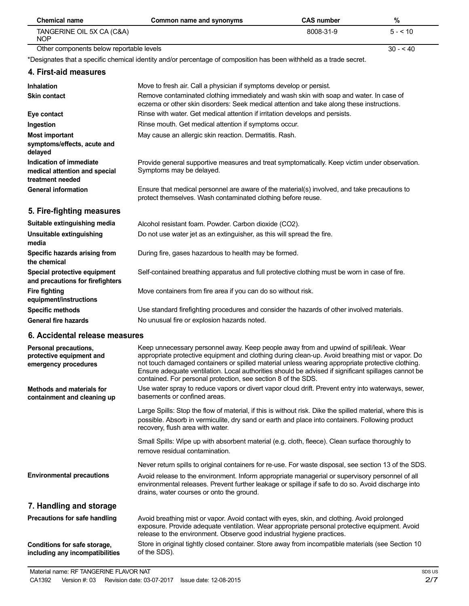| <b>Chemical name</b>                                                         | Common name and synonyms                                                                                                                                                                                                                                                                                                                                                                                                                                              | <b>CAS number</b> | $\%$      |
|------------------------------------------------------------------------------|-----------------------------------------------------------------------------------------------------------------------------------------------------------------------------------------------------------------------------------------------------------------------------------------------------------------------------------------------------------------------------------------------------------------------------------------------------------------------|-------------------|-----------|
| TANGERINE OIL 5X CA (C&A)<br><b>NOP</b>                                      |                                                                                                                                                                                                                                                                                                                                                                                                                                                                       | 8008-31-9         | $5 - 10$  |
| Other components below reportable levels                                     |                                                                                                                                                                                                                                                                                                                                                                                                                                                                       |                   | $30 - 40$ |
|                                                                              | *Designates that a specific chemical identity and/or percentage of composition has been withheld as a trade secret.                                                                                                                                                                                                                                                                                                                                                   |                   |           |
| 4. First-aid measures                                                        |                                                                                                                                                                                                                                                                                                                                                                                                                                                                       |                   |           |
| <b>Inhalation</b>                                                            | Move to fresh air. Call a physician if symptoms develop or persist.                                                                                                                                                                                                                                                                                                                                                                                                   |                   |           |
| <b>Skin contact</b>                                                          | Remove contaminated clothing immediately and wash skin with soap and water. In case of<br>eczema or other skin disorders: Seek medical attention and take along these instructions.                                                                                                                                                                                                                                                                                   |                   |           |
| Eye contact                                                                  | Rinse with water. Get medical attention if irritation develops and persists.                                                                                                                                                                                                                                                                                                                                                                                          |                   |           |
| Ingestion                                                                    | Rinse mouth. Get medical attention if symptoms occur.                                                                                                                                                                                                                                                                                                                                                                                                                 |                   |           |
| <b>Most important</b><br>symptoms/effects, acute and<br>delayed              | May cause an allergic skin reaction. Dermatitis. Rash.                                                                                                                                                                                                                                                                                                                                                                                                                |                   |           |
| Indication of immediate<br>medical attention and special<br>treatment needed | Provide general supportive measures and treat symptomatically. Keep victim under observation.<br>Symptoms may be delayed.                                                                                                                                                                                                                                                                                                                                             |                   |           |
| <b>General information</b>                                                   | Ensure that medical personnel are aware of the material(s) involved, and take precautions to<br>protect themselves. Wash contaminated clothing before reuse.                                                                                                                                                                                                                                                                                                          |                   |           |
| 5. Fire-fighting measures                                                    |                                                                                                                                                                                                                                                                                                                                                                                                                                                                       |                   |           |
| Suitable extinguishing media                                                 | Alcohol resistant foam. Powder. Carbon dioxide (CO2).                                                                                                                                                                                                                                                                                                                                                                                                                 |                   |           |
| <b>Unsuitable extinguishing</b><br>media                                     | Do not use water jet as an extinguisher, as this will spread the fire.                                                                                                                                                                                                                                                                                                                                                                                                |                   |           |
| Specific hazards arising from<br>the chemical                                | During fire, gases hazardous to health may be formed.                                                                                                                                                                                                                                                                                                                                                                                                                 |                   |           |
| Special protective equipment<br>and precautions for firefighters             | Self-contained breathing apparatus and full protective clothing must be worn in case of fire.                                                                                                                                                                                                                                                                                                                                                                         |                   |           |
| <b>Fire fighting</b><br>equipment/instructions                               | Move containers from fire area if you can do so without risk.                                                                                                                                                                                                                                                                                                                                                                                                         |                   |           |
| <b>Specific methods</b>                                                      | Use standard firefighting procedures and consider the hazards of other involved materials.                                                                                                                                                                                                                                                                                                                                                                            |                   |           |
| <b>General fire hazards</b>                                                  | No unusual fire or explosion hazards noted.                                                                                                                                                                                                                                                                                                                                                                                                                           |                   |           |
| 6. Accidental release measures                                               |                                                                                                                                                                                                                                                                                                                                                                                                                                                                       |                   |           |
| Personal precautions,<br>protective equipment and<br>emergency procedures    | Keep unnecessary personnel away. Keep people away from and upwind of spill/leak. Wear<br>appropriate protective equipment and clothing during clean-up. Avoid breathing mist or vapor. Do<br>not touch damaged containers or spilled material unless wearing appropriate protective clothing.<br>Ensure adequate ventilation. Local authorities should be advised if significant spillages cannot be<br>contained. For personal protection, see section 8 of the SDS. |                   |           |
| <b>Methods and materials for</b><br>containment and cleaning up              | Use water spray to reduce vapors or divert vapor cloud drift. Prevent entry into waterways, sewer,<br>basements or confined areas.                                                                                                                                                                                                                                                                                                                                    |                   |           |
|                                                                              | Large Spills: Stop the flow of material, if this is without risk. Dike the spilled material, where this is<br>possible. Absorb in vermiculite, dry sand or earth and place into containers. Following product<br>recovery, flush area with water.                                                                                                                                                                                                                     |                   |           |
|                                                                              | Small Spills: Wipe up with absorbent material (e.g. cloth, fleece). Clean surface thoroughly to<br>remove residual contamination.                                                                                                                                                                                                                                                                                                                                     |                   |           |
|                                                                              | Never return spills to original containers for re-use. For waste disposal, see section 13 of the SDS.                                                                                                                                                                                                                                                                                                                                                                 |                   |           |
| <b>Environmental precautions</b>                                             | Avoid release to the environment. Inform appropriate managerial or supervisory personnel of all<br>environmental releases. Prevent further leakage or spillage if safe to do so. Avoid discharge into<br>drains, water courses or onto the ground.                                                                                                                                                                                                                    |                   |           |
| 7. Handling and storage                                                      |                                                                                                                                                                                                                                                                                                                                                                                                                                                                       |                   |           |
| Precautions for safe handling<br>Conditions for safe storage,                | Avoid breathing mist or vapor. Avoid contact with eyes, skin, and clothing. Avoid prolonged<br>exposure. Provide adequate ventilation. Wear appropriate personal protective equipment. Avoid<br>release to the environment. Observe good industrial hygiene practices.<br>Store in original tightly closed container. Store away from incompatible materials (see Section 10                                                                                          |                   |           |
| including any incompatibilities                                              | of the SDS).                                                                                                                                                                                                                                                                                                                                                                                                                                                          |                   |           |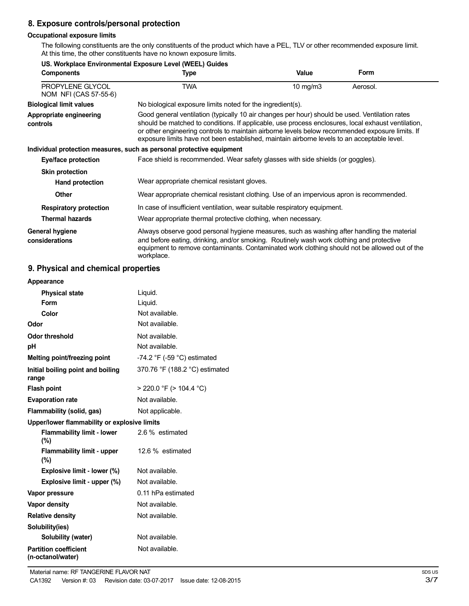# **8. Exposure controls/personal protection**

**US. Workplace Environmental Exposure Level (WEEL) Guides**

### **Occupational exposure limits**

The following constituents are the only constituents of the product which have a PEL, TLV or other recommended exposure limit. At this time, the other constituents have no known exposure limits.

| <b>Components</b>                                | US. WORKDIACE ENVIRONMENTAL EXPOSURE LEVEL (WEEL) GUIDES                                                                                                                                                                                                                                                                                                                                               | Value       | <b>Form</b> |
|--------------------------------------------------|--------------------------------------------------------------------------------------------------------------------------------------------------------------------------------------------------------------------------------------------------------------------------------------------------------------------------------------------------------------------------------------------------------|-------------|-------------|
|                                                  | Type                                                                                                                                                                                                                                                                                                                                                                                                   |             |             |
| <b>PROPYLENE GLYCOL</b><br>NOM NFI (CAS 57-55-6) | TWA                                                                                                                                                                                                                                                                                                                                                                                                    | 10 mg/m $3$ | Aerosol.    |
| <b>Biological limit values</b>                   | No biological exposure limits noted for the ingredient(s).                                                                                                                                                                                                                                                                                                                                             |             |             |
| Appropriate engineering<br>controls              | Good general ventilation (typically 10 air changes per hour) should be used. Ventilation rates<br>should be matched to conditions. If applicable, use process enclosures, local exhaust ventilation,<br>or other engineering controls to maintain airborne levels below recommended exposure limits. If<br>exposure limits have not been established, maintain airborne levels to an acceptable level. |             |             |
|                                                  | Individual protection measures, such as personal protective equipment                                                                                                                                                                                                                                                                                                                                  |             |             |
| Eye/face protection                              | Face shield is recommended. Wear safety glasses with side shields (or goggles).                                                                                                                                                                                                                                                                                                                        |             |             |
| <b>Skin protection</b>                           |                                                                                                                                                                                                                                                                                                                                                                                                        |             |             |
| Hand protection                                  | Wear appropriate chemical resistant gloves.                                                                                                                                                                                                                                                                                                                                                            |             |             |
| <b>Other</b>                                     | Wear appropriate chemical resistant clothing. Use of an impervious apron is recommended.                                                                                                                                                                                                                                                                                                               |             |             |
| <b>Respiratory protection</b>                    | In case of insufficient ventilation, wear suitable respiratory equipment.                                                                                                                                                                                                                                                                                                                              |             |             |
| <b>Thermal hazards</b>                           | Wear appropriate thermal protective clothing, when necessary.                                                                                                                                                                                                                                                                                                                                          |             |             |
| <b>General hygiene</b><br>considerations         | Always observe good personal hygiene measures, such as washing after handling the material<br>and before eating, drinking, and/or smoking. Routinely wash work clothing and protective<br>equipment to remove contaminants. Contaminated work clothing should not be allowed out of the<br>workplace.                                                                                                  |             |             |

### **9. Physical and chemical properties**

| Appearance                                        |                                               |
|---------------------------------------------------|-----------------------------------------------|
| <b>Physical state</b>                             | Liquid.                                       |
| Form                                              | Liquid.                                       |
| Color                                             | Not available.                                |
| Odor                                              | Not available.                                |
| <b>Odor threshold</b>                             | Not available.                                |
| рH                                                | Not available.                                |
| Melting point/freezing point                      | -74.2 $\degree$ F (-59 $\degree$ C) estimated |
| Initial boiling point and boiling<br>range        | 370.76 °F (188.2 °C) estimated                |
| <b>Flash point</b>                                | $>$ 220.0 °F ( $>$ 104.4 °C)                  |
| <b>Evaporation rate</b>                           | Not available.                                |
| Flammability (solid, gas)                         | Not applicable.                               |
| Upper/lower flammability or explosive limits      |                                               |
| <b>Flammability limit - lower</b><br>(%)          | 2.6 % estimated                               |
| <b>Flammability limit - upper</b><br>(%)          | 12.6 % estimated                              |
| Explosive limit - lower (%)                       | Not available.                                |
| Explosive limit - upper (%)                       | Not available.                                |
| Vapor pressure                                    | 0.11 hPa estimated                            |
| Vapor density                                     | Not available.                                |
| <b>Relative density</b>                           | Not available.                                |
| Solubility(ies)                                   |                                               |
| Solubility (water)                                | Not available.                                |
| <b>Partition coefficient</b><br>(n-octanol/water) | Not available.                                |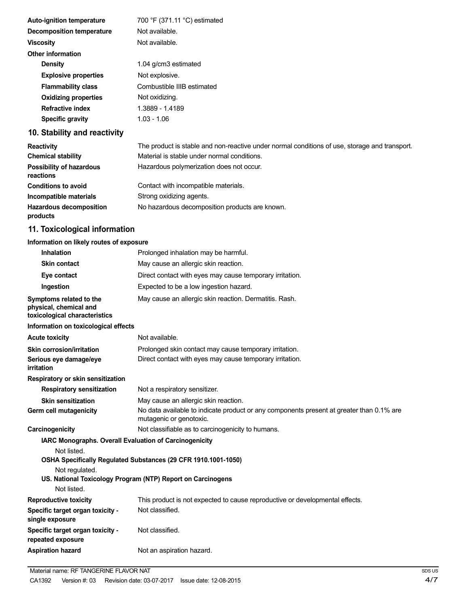| <b>Auto-ignition temperature</b> | 700 °F (371.11 °C) estimated                                                                  |
|----------------------------------|-----------------------------------------------------------------------------------------------|
| Decomposition temperature        | Not available.                                                                                |
| <b>Viscosity</b>                 | Not available.                                                                                |
| <b>Other information</b>         |                                                                                               |
| <b>Density</b>                   | 1.04 g/cm3 estimated                                                                          |
| <b>Explosive properties</b>      | Not explosive.                                                                                |
| <b>Flammability class</b>        | Combustible IIIB estimated                                                                    |
| <b>Oxidizing properties</b>      | Not oxidizing.                                                                                |
| <b>Refractive index</b>          | 1.3889 - 1.4189                                                                               |
| Specific gravity                 | $1.03 - 1.06$                                                                                 |
| 10. Stability and reactivity     |                                                                                               |
| <b>Reactivity</b>                | The product is stable and non-reactive under normal conditions of use, storage and transport. |

| Reactivity                                   | The product is stable and non-leadive under nomial conditions or use, storage and transport. |
|----------------------------------------------|----------------------------------------------------------------------------------------------|
| <b>Chemical stability</b>                    | Material is stable under normal conditions.                                                  |
| <b>Possibility of hazardous</b><br>reactions | Hazardous polymerization does not occur.                                                     |
| <b>Conditions to avoid</b>                   | Contact with incompatible materials.                                                         |
| Incompatible materials                       | Strong oxidizing agents.                                                                     |
| <b>Hazardous decomposition</b><br>products   | No hazardous decomposition products are known.                                               |
|                                              |                                                                                              |

# **11. Toxicological information**

# **Information on likely routes of exposure**

| <b>Inhalation</b>                                                                  | Prolonged inhalation may be harmful.                                                                                |
|------------------------------------------------------------------------------------|---------------------------------------------------------------------------------------------------------------------|
| <b>Skin contact</b>                                                                | May cause an allergic skin reaction.                                                                                |
| Eye contact                                                                        | Direct contact with eyes may cause temporary irritation.                                                            |
| Ingestion                                                                          | Expected to be a low ingestion hazard.                                                                              |
| Symptoms related to the<br>physical, chemical and<br>toxicological characteristics | May cause an allergic skin reaction. Dermatitis. Rash.                                                              |
| Information on toxicological effects                                               |                                                                                                                     |
| <b>Acute toxicity</b>                                                              | Not available.                                                                                                      |
| Skin corrosion/irritation                                                          | Prolonged skin contact may cause temporary irritation.                                                              |
| Serious eye damage/eye<br>irritation                                               | Direct contact with eyes may cause temporary irritation.                                                            |
| Respiratory or skin sensitization                                                  |                                                                                                                     |
| <b>Respiratory sensitization</b>                                                   | Not a respiratory sensitizer.                                                                                       |
| <b>Skin sensitization</b>                                                          | May cause an allergic skin reaction.                                                                                |
| Germ cell mutagenicity                                                             | No data available to indicate product or any components present at greater than 0.1% are<br>mutagenic or genotoxic. |
| Carcinogenicity                                                                    | Not classifiable as to carcinogenicity to humans.                                                                   |
| IARC Monographs. Overall Evaluation of Carcinogenicity<br>Not listed.              |                                                                                                                     |
|                                                                                    | OSHA Specifically Regulated Substances (29 CFR 1910.1001-1050)                                                      |
| Not regulated.                                                                     | US. National Toxicology Program (NTP) Report on Carcinogens                                                         |
| Not listed.                                                                        |                                                                                                                     |
| <b>Reproductive toxicity</b><br>Specific target organ toxicity -                   | This product is not expected to cause reproductive or developmental effects.<br>Not classified.                     |
| single exposure                                                                    |                                                                                                                     |
| Specific target organ toxicity -<br>repeated exposure                              | Not classified.                                                                                                     |
| <b>Aspiration hazard</b>                                                           | Not an aspiration hazard.                                                                                           |
|                                                                                    |                                                                                                                     |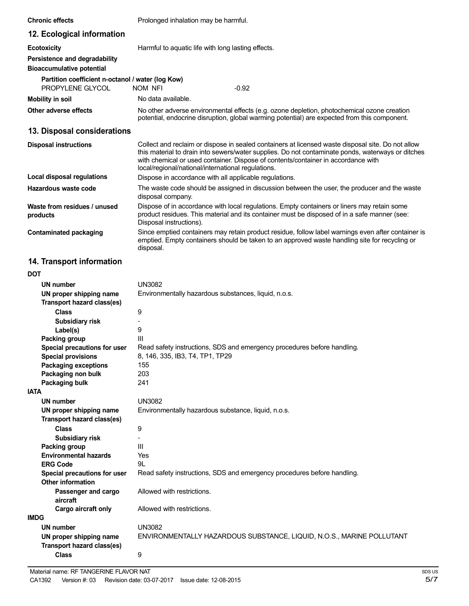| <b>Chronic effects</b>                                                | Prolonged inhalation may be harmful.                                                                                                                                                                                                                                                                                                              |
|-----------------------------------------------------------------------|---------------------------------------------------------------------------------------------------------------------------------------------------------------------------------------------------------------------------------------------------------------------------------------------------------------------------------------------------|
| 12. Ecological information                                            |                                                                                                                                                                                                                                                                                                                                                   |
| <b>Ecotoxicity</b>                                                    | Harmful to aquatic life with long lasting effects.                                                                                                                                                                                                                                                                                                |
| Persistence and degradability<br><b>Bioaccumulative potential</b>     |                                                                                                                                                                                                                                                                                                                                                   |
| Partition coefficient n-octanol / water (log Kow)<br>PROPYLENE GLYCOL | <b>NOM NFI</b><br>$-0.92$                                                                                                                                                                                                                                                                                                                         |
| <b>Mobility in soil</b>                                               | No data available.                                                                                                                                                                                                                                                                                                                                |
| Other adverse effects                                                 | No other adverse environmental effects (e.g. ozone depletion, photochemical ozone creation<br>potential, endocrine disruption, global warming potential) are expected from this component.                                                                                                                                                        |
| 13. Disposal considerations                                           |                                                                                                                                                                                                                                                                                                                                                   |
| <b>Disposal instructions</b>                                          | Collect and reclaim or dispose in sealed containers at licensed waste disposal site. Do not allow<br>this material to drain into sewers/water supplies. Do not contaminate ponds, waterways or ditches<br>with chemical or used container. Dispose of contents/container in accordance with<br>local/regional/national/international regulations. |
| <b>Local disposal regulations</b>                                     | Dispose in accordance with all applicable regulations.                                                                                                                                                                                                                                                                                            |
| Hazardous waste code                                                  | The waste code should be assigned in discussion between the user, the producer and the waste<br>disposal company.                                                                                                                                                                                                                                 |
| Waste from residues / unused<br>products                              | Dispose of in accordance with local regulations. Empty containers or liners may retain some<br>product residues. This material and its container must be disposed of in a safe manner (see:<br>Disposal instructions).                                                                                                                            |
| <b>Contaminated packaging</b>                                         | Since emptied containers may retain product residue, follow label warnings even after container is<br>emptied. Empty containers should be taken to an approved waste handling site for recycling or<br>disposal.                                                                                                                                  |
| 14. Transport information                                             |                                                                                                                                                                                                                                                                                                                                                   |
| <b>DOT</b>                                                            |                                                                                                                                                                                                                                                                                                                                                   |
| UN number                                                             | <b>UN3082</b>                                                                                                                                                                                                                                                                                                                                     |
| UN proper shipping name                                               | Environmentally hazardous substances, liquid, n.o.s.                                                                                                                                                                                                                                                                                              |
| Transport hazard class(es)                                            |                                                                                                                                                                                                                                                                                                                                                   |
| <b>Class</b>                                                          | 9                                                                                                                                                                                                                                                                                                                                                 |
| Subsidiary risk                                                       |                                                                                                                                                                                                                                                                                                                                                   |
| Label(s)<br>Packing group                                             | 9<br>Ш                                                                                                                                                                                                                                                                                                                                            |
| Special precautions for user                                          | Read safety instructions, SDS and emergency procedures before handling.                                                                                                                                                                                                                                                                           |
| <b>Special provisions</b>                                             | 8, 146, 335, IB3, T4, TP1, TP29                                                                                                                                                                                                                                                                                                                   |
| <b>Packaging exceptions</b>                                           | 155                                                                                                                                                                                                                                                                                                                                               |
| Packaging non bulk                                                    | 203                                                                                                                                                                                                                                                                                                                                               |
| Packaging bulk                                                        | 241                                                                                                                                                                                                                                                                                                                                               |
| <b>IATA</b>                                                           |                                                                                                                                                                                                                                                                                                                                                   |
| UN number                                                             | <b>UN3082</b>                                                                                                                                                                                                                                                                                                                                     |
| UN proper shipping name<br>Transport hazard class(es)                 | Environmentally hazardous substance, liquid, n.o.s.                                                                                                                                                                                                                                                                                               |
| <b>Class</b>                                                          | 9                                                                                                                                                                                                                                                                                                                                                 |
| Subsidiary risk                                                       |                                                                                                                                                                                                                                                                                                                                                   |
| Packing group<br><b>Environmental hazards</b>                         | Ш<br>Yes                                                                                                                                                                                                                                                                                                                                          |
| <b>ERG Code</b>                                                       | 9L                                                                                                                                                                                                                                                                                                                                                |
| Special precautions for user<br><b>Other information</b>              | Read safety instructions, SDS and emergency procedures before handling.                                                                                                                                                                                                                                                                           |
| Passenger and cargo<br>aircraft                                       | Allowed with restrictions.                                                                                                                                                                                                                                                                                                                        |
| Cargo aircraft only                                                   | Allowed with restrictions.                                                                                                                                                                                                                                                                                                                        |
| <b>IMDG</b>                                                           |                                                                                                                                                                                                                                                                                                                                                   |
| <b>UN number</b>                                                      | <b>UN3082</b>                                                                                                                                                                                                                                                                                                                                     |
| UN proper shipping name<br><b>Transport hazard class(es)</b>          | ENVIRONMENTALLY HAZARDOUS SUBSTANCE, LIQUID, N.O.S., MARINE POLLUTANT                                                                                                                                                                                                                                                                             |
| <b>Class</b>                                                          | 9                                                                                                                                                                                                                                                                                                                                                 |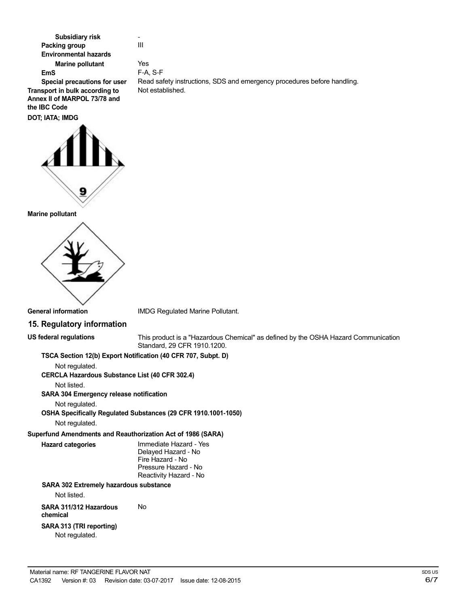**Subsidiary risk Packing group Environmental hazards Marine pollutant EmS**

- III

Yes F-A, S-F

Not established.

**Special precautions for user Transport in bulk according to Annex II of MARPOL 73/78 and the IBC Code DOT; IATA; IMDG**



#### **Marine pollutant**



IMDG Regulated Marine Pollutant.

### **15. Regulatory information**

**US federal regulations**

This product is a "Hazardous Chemical" as defined by the OSHA Hazard Communication Standard, 29 CFR 1910.1200.

Read safety instructions, SDS and emergency procedures before handling.

### **TSCA Section 12(b) Export Notification (40 CFR 707, Subpt. D)**

Not regulated.

**CERCLA Hazardous Substance List (40 CFR 302.4)**

Not listed.

### **SARA 304 Emergency release notification**

Not regulated.

**OSHA Specifically Regulated Substances (29 CFR 1910.1001-1050)**

No

Not regulated.

# **Superfund Amendments and Reauthorization Act of 1986 (SARA)**

**Hazard categories** Immediate Hazard - Yes

Delayed Hazard - No Fire Hazard - No Pressure Hazard - No Reactivity Hazard - No

# **SARA 302 Extremely hazardous substance**

Not listed.

**SARA 311/312 Hazardous**

### **chemical**

**SARA 313 (TRI reporting)**

Not regulated.

SDS US 6/7